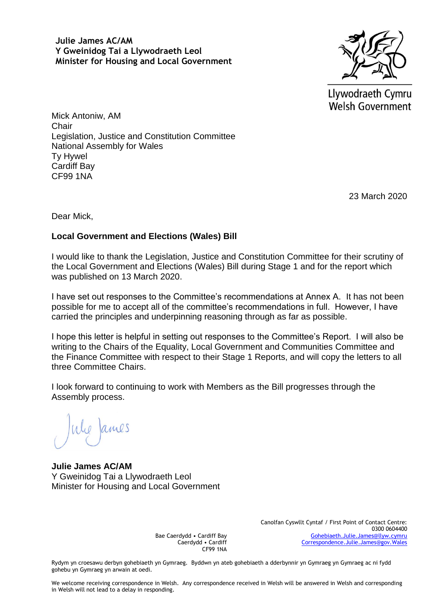**Julie James AC/AM Y Gweinidog Tai a Llywodraeth Leol Minister for Housing and Local Government**



Llywodraeth Cymru Welsh Government

Mick Antoniw, AM **Chair** Legislation, Justice and Constitution Committee National Assembly for Wales Ty Hywel Cardiff Bay CF99 1NA

23 March 2020

Dear Mick,

## **Local Government and Elections (Wales) Bill**

I would like to thank the Legislation, Justice and Constitution Committee for their scrutiny of the Local Government and Elections (Wales) Bill during Stage 1 and for the report which was published on 13 March 2020.

I have set out responses to the Committee's recommendations at Annex A. It has not been possible for me to accept all of the committee's recommendations in full. However, I have carried the principles and underpinning reasoning through as far as possible.

I hope this letter is helpful in setting out responses to the Committee's Report. I will also be writing to the Chairs of the Equality, Local Government and Communities Committee and the Finance Committee with respect to their Stage 1 Reports, and will copy the letters to all three Committee Chairs.

I look forward to continuing to work with Members as the Bill progresses through the Assembly process.

ames

**Julie James AC/AM** Y Gweinidog Tai a Llywodraeth Leol Minister for Housing and Local Government

Bae Caerdydd • Cardiff Bay Caerdydd • Cardiff CF99 1NA Canolfan Cyswllt Cyntaf / First Point of Contact Centre: 0300 0604400 [Gohebiaeth.Julie.James@llyw.cymru](mailto:Gohebiaeth.Julie.James@llyw.cymru) [Correspondence.Julie.James@gov.Wales](mailto:Correspondence.Julie.James@gov.Wales)

Rydym yn croesawu derbyn gohebiaeth yn Gymraeg. Byddwn yn ateb gohebiaeth a dderbynnir yn Gymraeg yn Gymraeg ac ni fydd gohebu yn Gymraeg yn arwain at oedi.

We welcome receiving correspondence in Welsh. Any correspondence received in Welsh will be answered in Welsh and corresponding in Welsh will not lead to a delay in responding.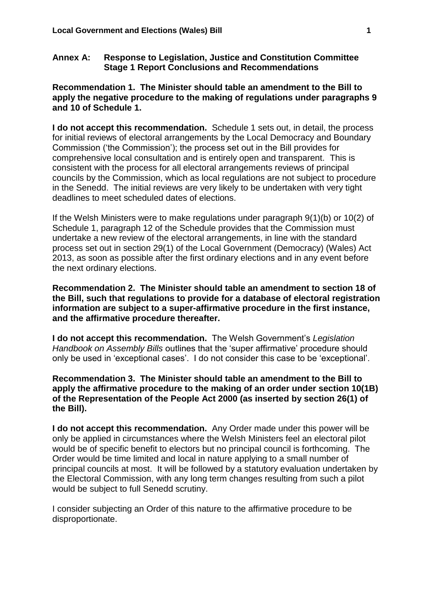#### **Annex A: Response to Legislation, Justice and Constitution Committee Stage 1 Report Conclusions and Recommendations**

### **Recommendation 1. The Minister should table an amendment to the Bill to apply the negative procedure to the making of regulations under paragraphs 9 and 10 of Schedule 1.**

**I do not accept this recommendation.** Schedule 1 sets out, in detail, the process for initial reviews of electoral arrangements by the Local Democracy and Boundary Commission ('the Commission'); the process set out in the Bill provides for comprehensive local consultation and is entirely open and transparent. This is consistent with the process for all electoral arrangements reviews of principal councils by the Commission, which as local regulations are not subject to procedure in the Senedd. The initial reviews are very likely to be undertaken with very tight deadlines to meet scheduled dates of elections.

If the Welsh Ministers were to make regulations under paragraph 9(1)(b) or 10(2) of Schedule 1, paragraph 12 of the Schedule provides that the Commission must undertake a new review of the electoral arrangements, in line with the standard process set out in section 29(1) of the Local Government (Democracy) (Wales) Act 2013, as soon as possible after the first ordinary elections and in any event before the next ordinary elections.

**Recommendation 2. The Minister should table an amendment to section 18 of the Bill, such that regulations to provide for a database of electoral registration information are subject to a super-affirmative procedure in the first instance, and the affirmative procedure thereafter.**

**I do not accept this recommendation.** The Welsh Government's *Legislation Handbook on Assembly Bills* outlines that the 'super affirmative' procedure should only be used in 'exceptional cases'. I do not consider this case to be 'exceptional'.

#### **Recommendation 3. The Minister should table an amendment to the Bill to apply the affirmative procedure to the making of an order under section 10(1B) of the Representation of the People Act 2000 (as inserted by section 26(1) of the Bill).**

**I do not accept this recommendation.** Any Order made under this power will be only be applied in circumstances where the Welsh Ministers feel an electoral pilot would be of specific benefit to electors but no principal council is forthcoming. The Order would be time limited and local in nature applying to a small number of principal councils at most. It will be followed by a statutory evaluation undertaken by the Electoral Commission, with any long term changes resulting from such a pilot would be subject to full Senedd scrutiny.

I consider subjecting an Order of this nature to the affirmative procedure to be disproportionate.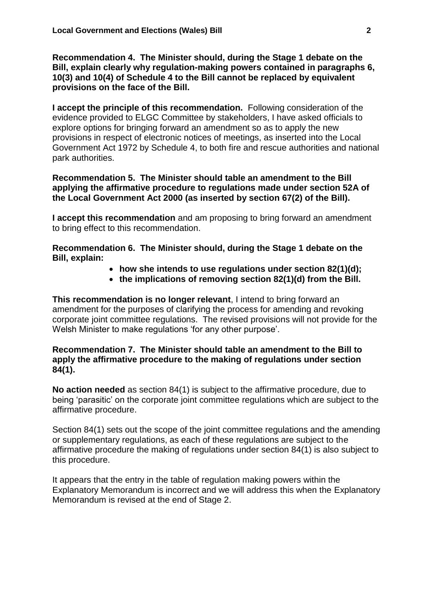**Recommendation 4. The Minister should, during the Stage 1 debate on the Bill, explain clearly why regulation-making powers contained in paragraphs 6, 10(3) and 10(4) of Schedule 4 to the Bill cannot be replaced by equivalent provisions on the face of the Bill.**

**I accept the principle of this recommendation.** Following consideration of the evidence provided to ELGC Committee by stakeholders, I have asked officials to explore options for bringing forward an amendment so as to apply the new provisions in respect of electronic notices of meetings, as inserted into the Local Government Act 1972 by Schedule 4, to both fire and rescue authorities and national park authorities.

**Recommendation 5. The Minister should table an amendment to the Bill applying the affirmative procedure to regulations made under section 52A of the Local Government Act 2000 (as inserted by section 67(2) of the Bill).**

**I accept this recommendation** and am proposing to bring forward an amendment to bring effect to this recommendation.

**Recommendation 6. The Minister should, during the Stage 1 debate on the Bill, explain:**

- **how she intends to use regulations under section 82(1)(d);**
- **the implications of removing section 82(1)(d) from the Bill.**

**This recommendation is no longer relevant**, I intend to bring forward an amendment for the purposes of clarifying the process for amending and revoking corporate joint committee regulations. The revised provisions will not provide for the Welsh Minister to make regulations 'for any other purpose'.

### **Recommendation 7. The Minister should table an amendment to the Bill to apply the affirmative procedure to the making of regulations under section 84(1).**

**No action needed** as section 84(1) is subject to the affirmative procedure, due to being 'parasitic' on the corporate joint committee regulations which are subject to the affirmative procedure.

Section 84(1) sets out the scope of the joint committee regulations and the amending or supplementary regulations, as each of these regulations are subject to the affirmative procedure the making of regulations under section 84(1) is also subject to this procedure.

It appears that the entry in the table of regulation making powers within the Explanatory Memorandum is incorrect and we will address this when the Explanatory Memorandum is revised at the end of Stage 2.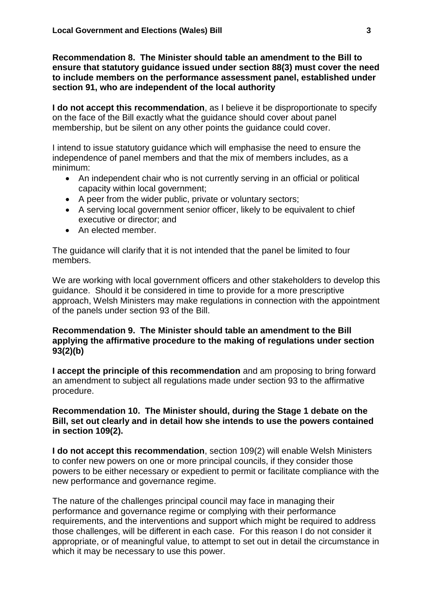**Recommendation 8. The Minister should table an amendment to the Bill to ensure that statutory guidance issued under section 88(3) must cover the need to include members on the performance assessment panel, established under section 91, who are independent of the local authority**

**I do not accept this recommendation**, as I believe it be disproportionate to specify on the face of the Bill exactly what the guidance should cover about panel membership, but be silent on any other points the guidance could cover.

I intend to issue statutory guidance which will emphasise the need to ensure the independence of panel members and that the mix of members includes, as a minimum:

- An independent chair who is not currently serving in an official or political capacity within local government;
- A peer from the wider public, private or voluntary sectors;
- A serving local government senior officer, likely to be equivalent to chief executive or director; and
- An elected member.

The guidance will clarify that it is not intended that the panel be limited to four members.

We are working with local government officers and other stakeholders to develop this guidance. Should it be considered in time to provide for a more prescriptive approach, Welsh Ministers may make regulations in connection with the appointment of the panels under section 93 of the Bill.

# **Recommendation 9. The Minister should table an amendment to the Bill applying the affirmative procedure to the making of regulations under section 93(2)(b)**

**I accept the principle of this recommendation** and am proposing to bring forward an amendment to subject all regulations made under section 93 to the affirmative procedure.

### **Recommendation 10. The Minister should, during the Stage 1 debate on the Bill, set out clearly and in detail how she intends to use the powers contained in section 109(2).**

**I do not accept this recommendation**, section 109(2) will enable Welsh Ministers to confer new powers on one or more principal councils, if they consider those powers to be either necessary or expedient to permit or facilitate compliance with the new performance and governance regime.

The nature of the challenges principal council may face in managing their performance and governance regime or complying with their performance requirements, and the interventions and support which might be required to address those challenges, will be different in each case. For this reason I do not consider it appropriate, or of meaningful value, to attempt to set out in detail the circumstance in which it may be necessary to use this power.